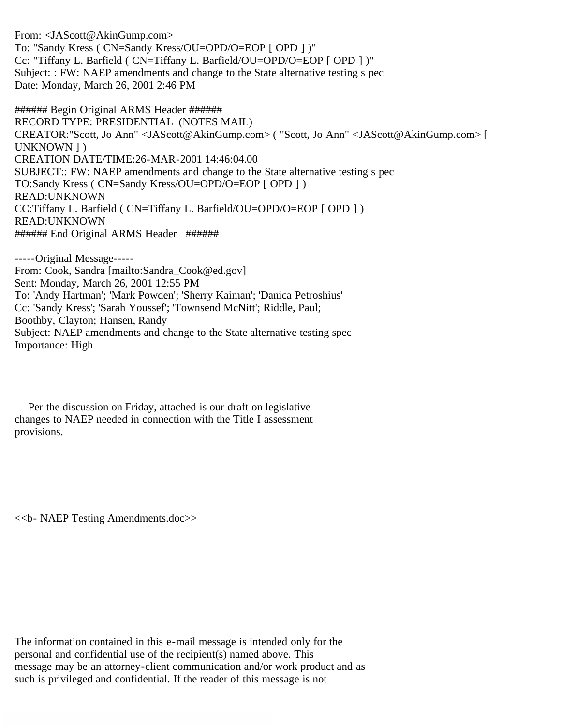From: <JAScott@AkinGump.com> To: "Sandy Kress ( CN=Sandy Kress/OU=OPD/O=EOP [ OPD ] )" Cc: "Tiffany L. Barfield ( CN=Tiffany L. Barfield/OU=OPD/O=EOP [ OPD ] )" Subject: : FW: NAEP amendments and change to the State alternative testing s pec Date: Monday, March 26, 2001 2:46 PM

###### Begin Original ARMS Header ###### RECORD TYPE: PRESIDENTIAL (NOTES MAIL) CREATOR:"Scott, Jo Ann" <JAScott@AkinGump.com> ( "Scott, Jo Ann" <JAScott@AkinGump.com> [ UNKNOWN ] ) CREATION DATE/TIME:26-MAR-2001 14:46:04.00 SUBJECT:: FW: NAEP amendments and change to the State alternative testing s pec TO:Sandy Kress ( CN=Sandy Kress/OU=OPD/O=EOP [ OPD ] ) READ:UNKNOWN CC:Tiffany L. Barfield ( CN=Tiffany L. Barfield/OU=OPD/O=EOP [ OPD ] ) READ:UNKNOWN ###### End Original ARMS Header ######

-----Original Message----- From: Cook, Sandra [mailto:Sandra\_Cook@ed.gov] Sent: Monday, March 26, 2001 12:55 PM To: 'Andy Hartman'; 'Mark Powden'; 'Sherry Kaiman'; 'Danica Petroshius' Cc: 'Sandy Kress'; 'Sarah Youssef'; 'Townsend McNitt'; Riddle, Paul; Boothby, Clayton; Hansen, Randy Subject: NAEP amendments and change to the State alternative testing spec Importance: High

 Per the discussion on Friday, attached is our draft on legislative changes to NAEP needed in connection with the Title I assessment provisions.

<<b- NAEP Testing Amendments.doc>>

The information contained in this e-mail message is intended only for the personal and confidential use of the recipient(s) named above. This message may be an attorney-client communication and/or work product and as such is privileged and confidential. If the reader of this message is not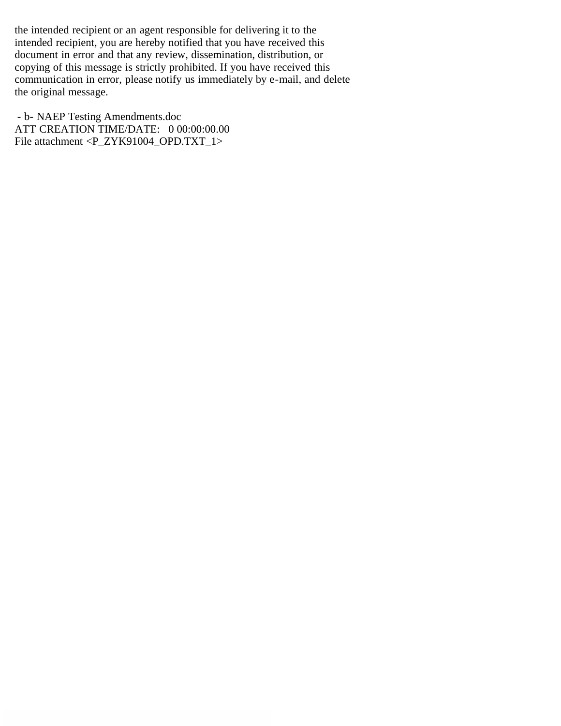the intended recipient or an agent responsible for delivering it to the intended recipient, you are hereby notified that you have received this document in error and that any review, dissemination, distribution, or copying of this message is strictly prohibited. If you have received this communication in error, please notify us immediately by e-mail, and delete the original message.

 - b- NAEP Testing Amendments.doc ATT CREATION TIME/DATE: 0 00:00:00.00 File attachment <P\_ZYK91004\_OPD.TXT\_1>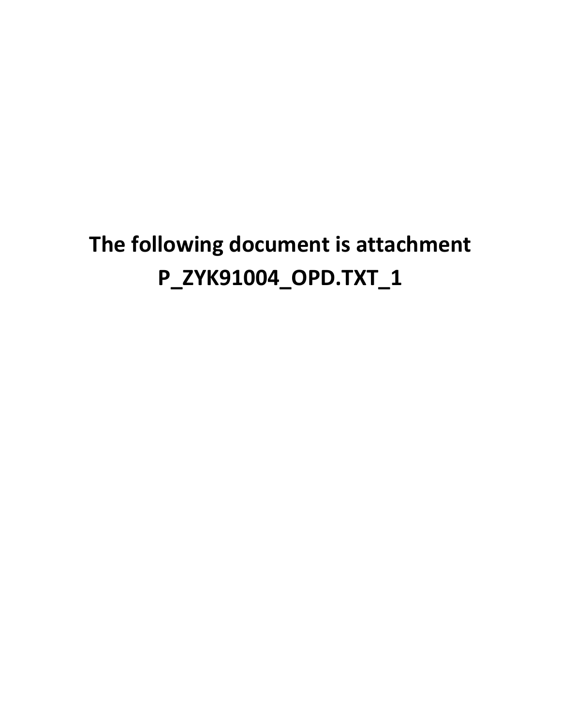## **The following document is attachment P\_ZYK91004\_OPD.TXT\_1**